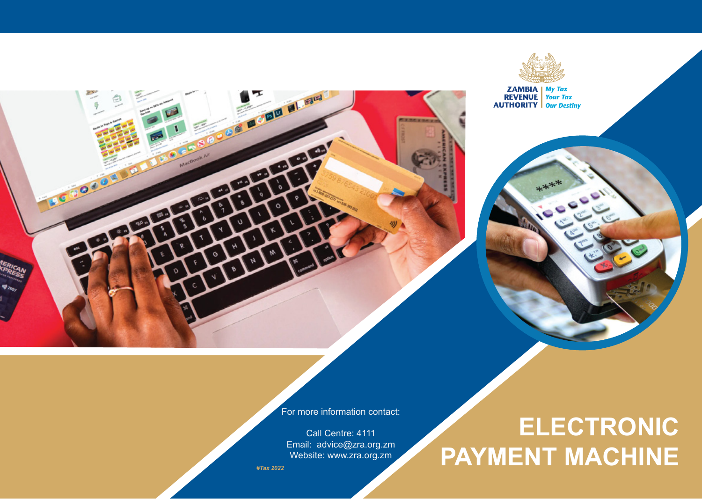

**ZAMBIA** My Tax<br> **REVENUE** Your Tax<br> **AUTHORITY** Our Destiny



For more information contact:

Call Centre: 4111 Email: advice@zra.org.zm Website: www.zra.org.zm

*#Tax 2022*

# **ELECTRONIC PAYMENT MACHINE**